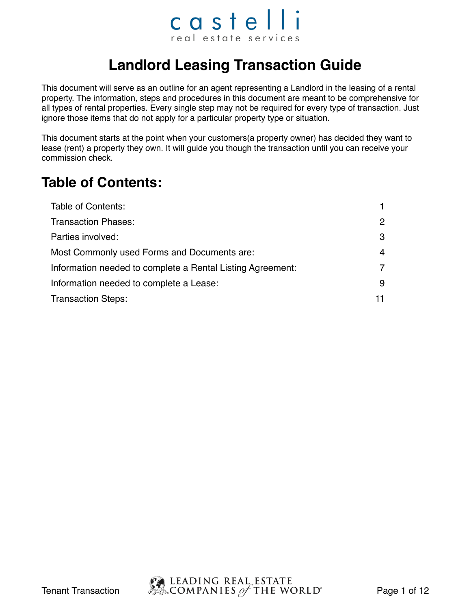### castelli real estate services

### **Landlord Leasing Transaction Guide**

This document will serve as an outline for an agent representing a Landlord in the leasing of a rental property. The information, steps and procedures in this document are meant to be comprehensive for all types of rental properties. Every single step may not be required for every type of transaction. Just ignore those items that do not apply for a particular property type or situation.

This document starts at the point when your customers(a property owner) has decided they want to lease (rent) a property they own. It will guide you though the transaction until you can receive your commission check.

#### **Table of Contents:**

| Table of Contents:                                         |    |
|------------------------------------------------------------|----|
| <b>Transaction Phases:</b>                                 | 2  |
| Parties involved:                                          | 3  |
| Most Commonly used Forms and Documents are:                | 4  |
| Information needed to complete a Rental Listing Agreement: | 7  |
| Information needed to complete a Lease:                    | 9  |
| <b>Transaction Steps:</b>                                  | 11 |

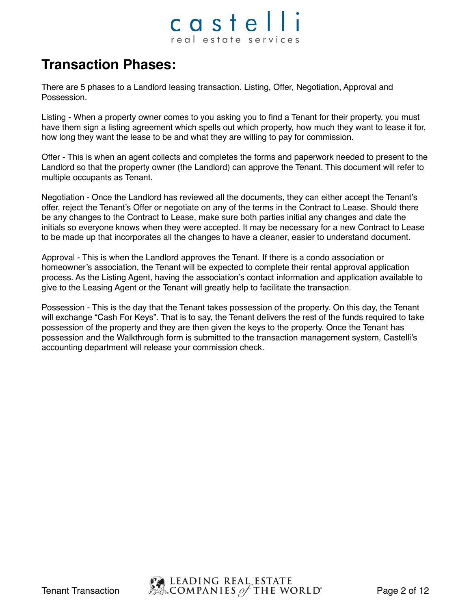### castel real estate services

#### **Transaction Phases:**

There are 5 phases to a Landlord leasing transaction. Listing, Offer, Negotiation, Approval and Possession.

Listing - When a property owner comes to you asking you to find a Tenant for their property, you must have them sign a listing agreement which spells out which property, how much they want to lease it for, how long they want the lease to be and what they are willing to pay for commission.

Offer - This is when an agent collects and completes the forms and paperwork needed to present to the Landlord so that the property owner (the Landlord) can approve the Tenant. This document will refer to multiple occupants as Tenant.

Negotiation - Once the Landlord has reviewed all the documents, they can either accept the Tenant's offer, reject the Tenant's Offer or negotiate on any of the terms in the Contract to Lease. Should there be any changes to the Contract to Lease, make sure both parties initial any changes and date the initials so everyone knows when they were accepted. It may be necessary for a new Contract to Lease to be made up that incorporates all the changes to have a cleaner, easier to understand document.

Approval - This is when the Landlord approves the Tenant. If there is a condo association or homeowner's association, the Tenant will be expected to complete their rental approval application process. As the Listing Agent, having the association's contact information and application available to give to the Leasing Agent or the Tenant will greatly help to facilitate the transaction.

Possession - This is the day that the Tenant takes possession of the property. On this day, the Tenant will exchange "Cash For Keys". That is to say, the Tenant delivers the rest of the funds required to take possession of the property and they are then given the keys to the property. Once the Tenant has possession and the Walkthrough form is submitted to the transaction management system, Castelli's accounting department will release your commission check.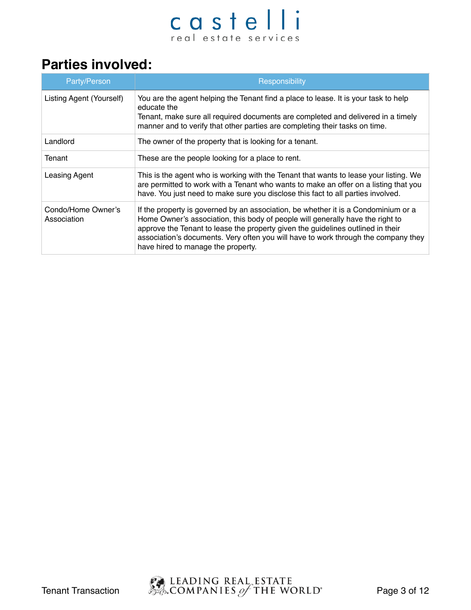#### **Parties involved:**

| Party/Person                      | Responsibility                                                                                                                                                                                                                                                                                                                                                                      |
|-----------------------------------|-------------------------------------------------------------------------------------------------------------------------------------------------------------------------------------------------------------------------------------------------------------------------------------------------------------------------------------------------------------------------------------|
| Listing Agent (Yourself)          | You are the agent helping the Tenant find a place to lease. It is your task to help<br>educate the<br>Tenant, make sure all required documents are completed and delivered in a timely<br>manner and to verify that other parties are completing their tasks on time.                                                                                                               |
| Landlord                          | The owner of the property that is looking for a tenant.                                                                                                                                                                                                                                                                                                                             |
| Tenant                            | These are the people looking for a place to rent.                                                                                                                                                                                                                                                                                                                                   |
| Leasing Agent                     | This is the agent who is working with the Tenant that wants to lease your listing. We<br>are permitted to work with a Tenant who wants to make an offer on a listing that you<br>have. You just need to make sure you disclose this fact to all parties involved.                                                                                                                   |
| Condo/Home Owner's<br>Association | If the property is governed by an association, be whether it is a Condominium or a<br>Home Owner's association, this body of people will generally have the right to<br>approve the Tenant to lease the property given the guidelines outlined in their<br>association's documents. Very often you will have to work through the company they<br>have hired to manage the property. |

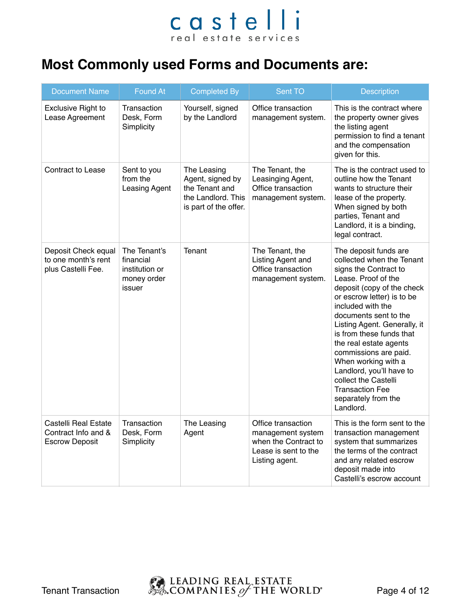#### **Most Commonly used Forms and Documents are:**

| <b>Document Name</b>                                                        | <b>Found At</b>                                                      | <b>Completed By</b>                                                                              | Sent TO                                                                                                   | <b>Description</b>                                                                                                                                                                                                                                                                                                                                                                                                                                                   |
|-----------------------------------------------------------------------------|----------------------------------------------------------------------|--------------------------------------------------------------------------------------------------|-----------------------------------------------------------------------------------------------------------|----------------------------------------------------------------------------------------------------------------------------------------------------------------------------------------------------------------------------------------------------------------------------------------------------------------------------------------------------------------------------------------------------------------------------------------------------------------------|
| <b>Exclusive Right to</b><br>Lease Agreement                                | Transaction<br>Desk, Form<br>Simplicity                              | Yourself, signed<br>by the Landlord                                                              | Office transaction<br>management system.                                                                  | This is the contract where<br>the property owner gives<br>the listing agent<br>permission to find a tenant<br>and the compensation<br>given for this.                                                                                                                                                                                                                                                                                                                |
| <b>Contract to Lease</b>                                                    | Sent to you<br>from the<br>Leasing Agent                             | The Leasing<br>Agent, signed by<br>the Tenant and<br>the Landlord. This<br>is part of the offer. | The Tenant, the<br>Leasinging Agent,<br>Office transaction<br>management system.                          | The is the contract used to<br>outline how the Tenant<br>wants to structure their<br>lease of the property.<br>When signed by both<br>parties, Tenant and<br>Landlord, it is a binding,<br>legal contract.                                                                                                                                                                                                                                                           |
| Deposit Check equal<br>to one month's rent<br>plus Castelli Fee.            | The Tenant's<br>financial<br>institution or<br>money order<br>issuer | Tenant                                                                                           | The Tenant, the<br>Listing Agent and<br>Office transaction<br>management system.                          | The deposit funds are<br>collected when the Tenant<br>signs the Contract to<br>Lease. Proof of the<br>deposit (copy of the check<br>or escrow letter) is to be<br>included with the<br>documents sent to the<br>Listing Agent. Generally, it<br>is from these funds that<br>the real estate agents<br>commissions are paid.<br>When working with a<br>Landlord, you'll have to<br>collect the Castelli<br><b>Transaction Fee</b><br>separately from the<br>Landlord. |
| <b>Castelli Real Estate</b><br>Contract Info and &<br><b>Escrow Deposit</b> | Transaction<br>Desk, Form<br>Simplicity                              | The Leasing<br>Agent                                                                             | Office transaction<br>management system<br>when the Contract to<br>Lease is sent to the<br>Listing agent. | This is the form sent to the<br>transaction management<br>system that summarizes<br>the terms of the contract<br>and any related escrow<br>deposit made into<br>Castelli's escrow account                                                                                                                                                                                                                                                                            |

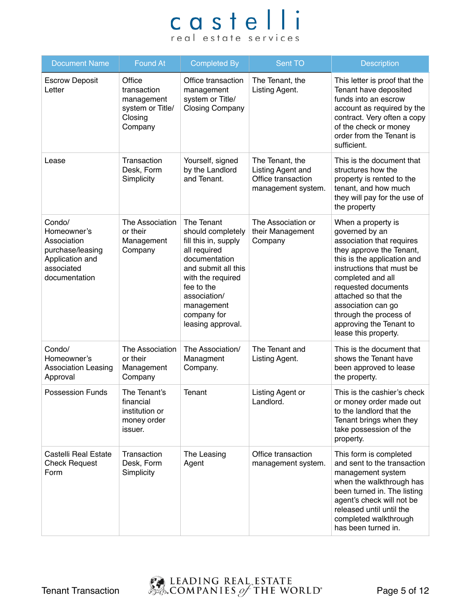| <b>Document Name</b>                                                                                       | <b>Found At</b>                                                               | <b>Completed By</b>                                                                                                                                                                                                  | Sent TO                                                                          | <b>Description</b>                                                                                                                                                                                                                                                                                                               |
|------------------------------------------------------------------------------------------------------------|-------------------------------------------------------------------------------|----------------------------------------------------------------------------------------------------------------------------------------------------------------------------------------------------------------------|----------------------------------------------------------------------------------|----------------------------------------------------------------------------------------------------------------------------------------------------------------------------------------------------------------------------------------------------------------------------------------------------------------------------------|
| <b>Escrow Deposit</b><br>Letter                                                                            | Office<br>transaction<br>management<br>system or Title/<br>Closing<br>Company | Office transaction<br>management<br>system or Title/<br><b>Closing Company</b>                                                                                                                                       | The Tenant, the<br>Listing Agent.                                                | This letter is proof that the<br>Tenant have deposited<br>funds into an escrow<br>account as required by the<br>contract. Very often a copy<br>of the check or money<br>order from the Tenant is<br>sufficient.                                                                                                                  |
| Lease                                                                                                      | Transaction<br>Desk, Form<br>Simplicity                                       | Yourself, signed<br>by the Landlord<br>and Tenant.                                                                                                                                                                   | The Tenant, the<br>Listing Agent and<br>Office transaction<br>management system. | This is the document that<br>structures how the<br>property is rented to the<br>tenant, and how much<br>they will pay for the use of<br>the property                                                                                                                                                                             |
| Condo/<br>Homeowner's<br>Association<br>purchase/leasing<br>Application and<br>associated<br>documentation | The Association<br>or their<br>Management<br>Company                          | The Tenant<br>should completely<br>fill this in, supply<br>all required<br>documentation<br>and submit all this<br>with the required<br>fee to the<br>association/<br>management<br>company for<br>leasing approval. | The Association or<br>their Management<br>Company                                | When a property is<br>governed by an<br>association that requires<br>they approve the Tenant,<br>this is the application and<br>instructions that must be<br>completed and all<br>requested documents<br>attached so that the<br>association can go<br>through the process of<br>approving the Tenant to<br>lease this property. |
| Condo/<br>Homeowner's<br><b>Association Leasing</b><br>Approval                                            | The Association<br>or their<br>Management<br>Company                          | The Association/<br>Managment<br>Company.                                                                                                                                                                            | The Tenant and<br>Listing Agent.                                                 | This is the document that<br>shows the Tenant have<br>been approved to lease<br>the property.                                                                                                                                                                                                                                    |
| <b>Possession Funds</b>                                                                                    | The Tenant's<br>financial<br>institution or<br>money order<br>issuer.         | Tenant                                                                                                                                                                                                               | Listing Agent or<br>Landlord.                                                    | This is the cashier's check<br>or money order made out<br>to the landlord that the<br>Tenant brings when they<br>take possession of the<br>property.                                                                                                                                                                             |
| Castelli Real Estate<br><b>Check Request</b><br>Form                                                       | Transaction<br>Desk, Form<br>Simplicity                                       | The Leasing<br>Agent                                                                                                                                                                                                 | Office transaction<br>management system.                                         | This form is completed<br>and sent to the transaction<br>management system<br>when the walkthrough has<br>been turned in. The listing<br>agent's check will not be<br>released until until the<br>completed walkthrough<br>has been turned in.                                                                                   |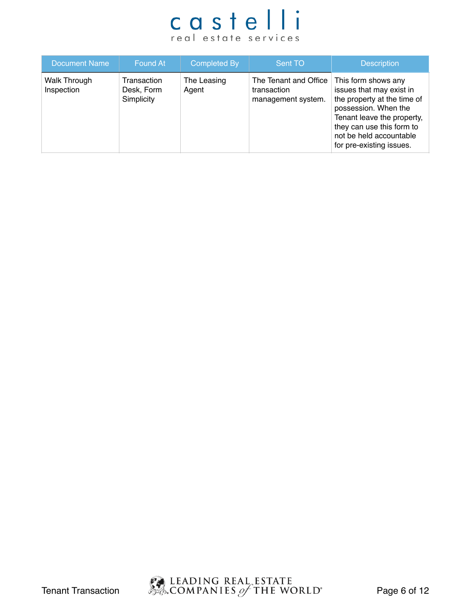| <b>Document Name</b>              | Found At                                | <b>Completed By</b>  | Sent TO                                                    | <b>Description</b>                                                                                                                                                                                                       |
|-----------------------------------|-----------------------------------------|----------------------|------------------------------------------------------------|--------------------------------------------------------------------------------------------------------------------------------------------------------------------------------------------------------------------------|
| <b>Walk Through</b><br>Inspection | Transaction<br>Desk, Form<br>Simplicity | The Leasing<br>Agent | The Tenant and Office<br>transaction<br>management system. | This form shows any<br>issues that may exist in<br>the property at the time of<br>possession. When the<br>Tenant leave the property,<br>they can use this form to<br>not be held accountable<br>for pre-existing issues. |

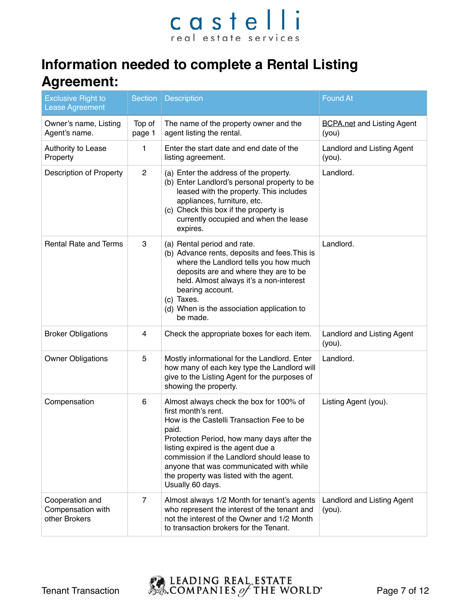### **Information needed to complete a Rental Listing Agreement:**

| <b>Exclusive Right to</b><br><b>Lease Agreement</b>   | Section          | <b>Description</b>                                                                                                                                                                                                                                                                                                                                               | <b>Found At</b>                                |
|-------------------------------------------------------|------------------|------------------------------------------------------------------------------------------------------------------------------------------------------------------------------------------------------------------------------------------------------------------------------------------------------------------------------------------------------------------|------------------------------------------------|
| Owner's name, Listing<br>Agent's name.                | Top of<br>page 1 | The name of the property owner and the<br>agent listing the rental.                                                                                                                                                                                                                                                                                              | <b>BCPA.net and Listing Agent</b><br>(you)     |
| Authority to Lease<br>Property                        | 1                | Enter the start date and end date of the<br>listing agreement.                                                                                                                                                                                                                                                                                                   | <b>Landlord and Listing Agent</b><br>$(you)$ . |
| <b>Description of Property</b>                        | $\overline{2}$   | (a) Enter the address of the property.<br>(b) Enter Landlord's personal property to be<br>leased with the property. This includes<br>appliances, furniture, etc.<br>(c) Check this box if the property is<br>currently occupied and when the lease<br>expires.                                                                                                   | Landlord.                                      |
| <b>Rental Rate and Terms</b>                          | 3                | (a) Rental period and rate.<br>(b) Advance rents, deposits and fees. This is<br>where the Landlord tells you how much<br>deposits are and where they are to be<br>held. Almost always it's a non-interest<br>bearing account.<br>(c) Taxes.<br>(d) When is the association application to<br>be made.                                                            | Landlord.                                      |
| <b>Broker Obligations</b>                             | 4                | Check the appropriate boxes for each item.                                                                                                                                                                                                                                                                                                                       | <b>Landlord and Listing Agent</b><br>$(you)$ . |
| <b>Owner Obligations</b>                              | 5                | Mostly informational for the Landlord. Enter<br>how many of each key type the Landlord will<br>give to the Listing Agent for the purposes of<br>showing the property.                                                                                                                                                                                            | Landlord.                                      |
| Compensation                                          | 6                | Almost always check the box for 100% of<br>first month's rent.<br>How is the Castelli Transaction Fee to be<br>paid.<br>Protection Period, how many days after the<br>listing expired is the agent due a<br>commission if the Landlord should lease to<br>anyone that was communicated with while<br>the property was listed with the agent.<br>Usually 60 days. | Listing Agent (you).                           |
| Cooperation and<br>Compensation with<br>other Brokers | $\overline{7}$   | Almost always 1/2 Month for tenant's agents<br>who represent the interest of the tenant and<br>not the interest of the Owner and 1/2 Month<br>to transaction brokers for the Tenant.                                                                                                                                                                             | Landlord and Listing Agent<br>$(you)$ .        |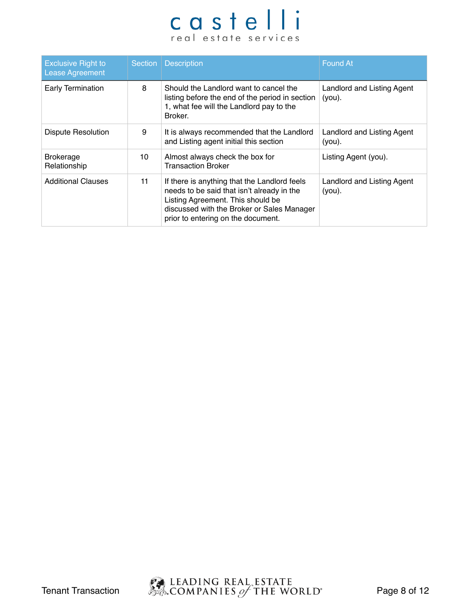| <b>Exclusive Right to</b><br><b>Lease Agreement</b> |    | Section   Description                                                                                                                                                                                               | <b>Found At</b>                         |
|-----------------------------------------------------|----|---------------------------------------------------------------------------------------------------------------------------------------------------------------------------------------------------------------------|-----------------------------------------|
| Early Termination                                   | 8  | Should the Landlord want to cancel the<br>listing before the end of the period in section<br>1, what fee will the Landlord pay to the<br>Broker.                                                                    | Landlord and Listing Agent<br>$(you)$ . |
| <b>Dispute Resolution</b>                           | 9  | It is always recommended that the Landlord<br>and Listing agent initial this section                                                                                                                                | Landlord and Listing Agent<br>$(you)$ . |
| <b>Brokerage</b><br>Relationship                    | 10 | Almost always check the box for<br><b>Transaction Broker</b>                                                                                                                                                        | Listing Agent (you).                    |
| <b>Additional Clauses</b>                           | 11 | If there is anything that the Landlord feels<br>needs to be said that isn't already in the<br>Listing Agreement. This should be<br>discussed with the Broker or Sales Manager<br>prior to entering on the document. | Landlord and Listing Agent<br>$(you)$ . |

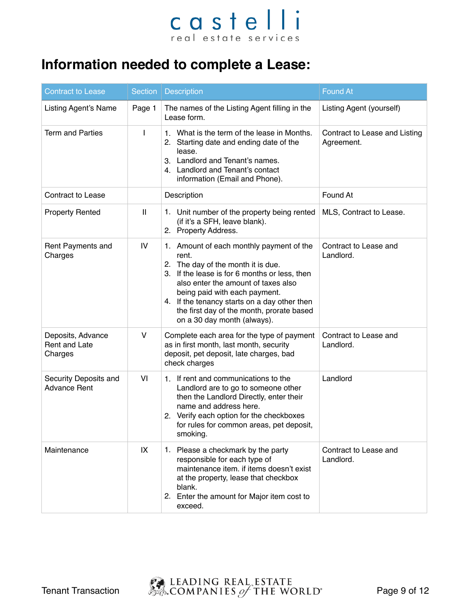### **Information needed to complete a Lease:**

| <b>Contract to Lease</b>                      | <b>Section</b> | <b>Description</b>                                                                                                                                                                                                                                                                                                                           | <b>Found At</b>                             |
|-----------------------------------------------|----------------|----------------------------------------------------------------------------------------------------------------------------------------------------------------------------------------------------------------------------------------------------------------------------------------------------------------------------------------------|---------------------------------------------|
| <b>Listing Agent's Name</b>                   | Page 1         | The names of the Listing Agent filling in the<br>Lease form.                                                                                                                                                                                                                                                                                 | Listing Agent (yourself)                    |
| <b>Term and Parties</b>                       | $\mathsf{I}$   | 1. What is the term of the lease in Months.<br>2. Starting date and ending date of the<br>lease.<br>3. Landlord and Tenant's names.<br>4. Landlord and Tenant's contact<br>information (Email and Phone).                                                                                                                                    | Contract to Lease and Listing<br>Agreement. |
| <b>Contract to Lease</b>                      |                | Description                                                                                                                                                                                                                                                                                                                                  | Found At                                    |
| <b>Property Rented</b>                        | $\mathbf{H}$   | 1. Unit number of the property being rented<br>(if it's a SFH, leave blank).<br>2. Property Address.                                                                                                                                                                                                                                         | MLS, Contract to Lease.                     |
| Rent Payments and<br>Charges                  | IV             | 1. Amount of each monthly payment of the<br>rent.<br>2. The day of the month it is due.<br>3. If the lease is for 6 months or less, then<br>also enter the amount of taxes also<br>being paid with each payment.<br>4. If the tenancy starts on a day other then<br>the first day of the month, prorate based<br>on a 30 day month (always). | Contract to Lease and<br>Landlord.          |
| Deposits, Advance<br>Rent and Late<br>Charges | V              | Complete each area for the type of payment<br>as in first month, last month, security<br>deposit, pet deposit, late charges, bad<br>check charges                                                                                                                                                                                            | Contract to Lease and<br>Landlord.          |
| Security Deposits and<br><b>Advance Rent</b>  | VI             | 1. If rent and communications to the<br>Landlord are to go to someone other<br>then the Landlord Directly, enter their<br>name and address here.<br>2. Verify each option for the checkboxes<br>for rules for common areas, pet deposit,<br>smoking.                                                                                         | Landlord                                    |
| Maintenance                                   | IX             | 1. Please a checkmark by the party<br>responsible for each type of<br>maintenance item. if items doesn't exist<br>at the property, lease that checkbox<br>blank.<br>2. Enter the amount for Major item cost to<br>exceed.                                                                                                                    | Contract to Lease and<br>Landlord.          |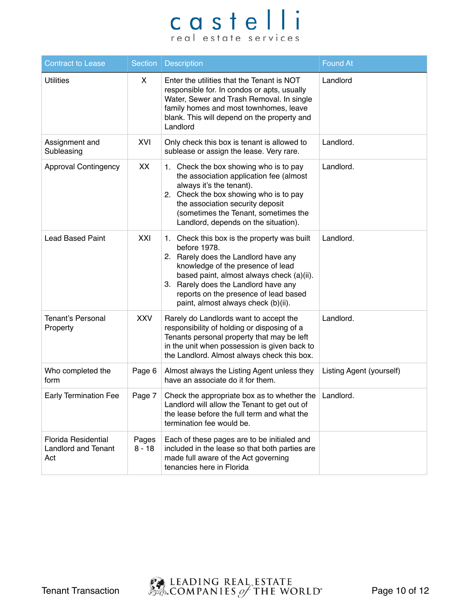| <b>Contract to Lease</b>                                        | <b>Section</b>    | <b>Description</b>                                                                                                                                                                                                                                                                                            | <b>Found At</b>          |
|-----------------------------------------------------------------|-------------------|---------------------------------------------------------------------------------------------------------------------------------------------------------------------------------------------------------------------------------------------------------------------------------------------------------------|--------------------------|
| <b>Utilities</b>                                                | X.                | Enter the utilities that the Tenant is NOT<br>responsible for. In condos or apts, usually<br>Water, Sewer and Trash Removal. In single<br>family homes and most townhomes, leave<br>blank. This will depend on the property and<br>Landlord                                                                   | Landlord                 |
| Assignment and<br>Subleasing                                    | XVI               | Only check this box is tenant is allowed to<br>sublease or assign the lease. Very rare.                                                                                                                                                                                                                       | Landlord.                |
| <b>Approval Contingency</b>                                     | XX                | 1. Check the box showing who is to pay<br>the association application fee (almost<br>always it's the tenant).<br>2. Check the box showing who is to pay<br>the association security deposit<br>(sometimes the Tenant, sometimes the<br>Landlord, depends on the situation).                                   | Landlord.                |
| <b>Lead Based Paint</b>                                         | XXI               | 1. Check this box is the property was built<br>before 1978.<br>2. Rarely does the Landlord have any<br>knowledge of the presence of lead<br>based paint, almost always check (a)(ii).<br>3. Rarely does the Landlord have any<br>reports on the presence of lead based<br>paint, almost always check (b)(ii). | Landlord.                |
| <b>Tenant's Personal</b><br>Property                            | <b>XXV</b>        | Rarely do Landlords want to accept the<br>responsibility of holding or disposing of a<br>Tenants personal property that may be left<br>in the unit when possession is given back to<br>the Landlord. Almost always check this box.                                                                            | Landlord.                |
| Who completed the<br>form                                       | Page 6            | Almost always the Listing Agent unless they<br>have an associate do it for them.                                                                                                                                                                                                                              | Listing Agent (yourself) |
| <b>Early Termination Fee</b>                                    | Page 7            | Check the appropriate box as to whether the Landlord.<br>Landlord will allow the Tenant to get out of<br>the lease before the full term and what the<br>termination fee would be.                                                                                                                             |                          |
| <b>Florida Residential</b><br><b>Landlord and Tenant</b><br>Act | Pages<br>$8 - 18$ | Each of these pages are to be initialed and<br>included in the lease so that both parties are<br>made full aware of the Act governing<br>tenancies here in Florida                                                                                                                                            |                          |

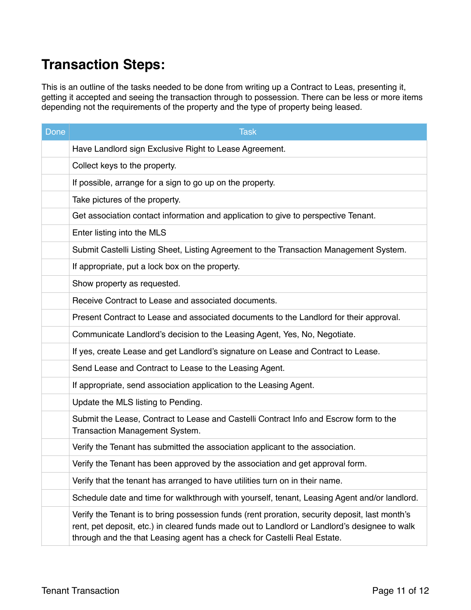### **Transaction Steps:**

This is an outline of the tasks needed to be done from writing up a Contract to Leas, presenting it, getting it accepted and seeing the transaction through to possession. There can be less or more items depending not the requirements of the property and the type of property being leased.

| <b>Done</b> | <b>Task</b>                                                                                                                                                                                                                                                                 |
|-------------|-----------------------------------------------------------------------------------------------------------------------------------------------------------------------------------------------------------------------------------------------------------------------------|
|             | Have Landlord sign Exclusive Right to Lease Agreement.                                                                                                                                                                                                                      |
|             | Collect keys to the property.                                                                                                                                                                                                                                               |
|             | If possible, arrange for a sign to go up on the property.                                                                                                                                                                                                                   |
|             | Take pictures of the property.                                                                                                                                                                                                                                              |
|             | Get association contact information and application to give to perspective Tenant.                                                                                                                                                                                          |
|             | Enter listing into the MLS                                                                                                                                                                                                                                                  |
|             | Submit Castelli Listing Sheet, Listing Agreement to the Transaction Management System.                                                                                                                                                                                      |
|             | If appropriate, put a lock box on the property.                                                                                                                                                                                                                             |
|             | Show property as requested.                                                                                                                                                                                                                                                 |
|             | Receive Contract to Lease and associated documents.                                                                                                                                                                                                                         |
|             | Present Contract to Lease and associated documents to the Landlord for their approval.                                                                                                                                                                                      |
|             | Communicate Landlord's decision to the Leasing Agent, Yes, No, Negotiate.                                                                                                                                                                                                   |
|             | If yes, create Lease and get Landlord's signature on Lease and Contract to Lease.                                                                                                                                                                                           |
|             | Send Lease and Contract to Lease to the Leasing Agent.                                                                                                                                                                                                                      |
|             | If appropriate, send association application to the Leasing Agent.                                                                                                                                                                                                          |
|             | Update the MLS listing to Pending.                                                                                                                                                                                                                                          |
|             | Submit the Lease, Contract to Lease and Castelli Contract Info and Escrow form to the<br>Transaction Management System.                                                                                                                                                     |
|             | Verify the Tenant has submitted the association applicant to the association.                                                                                                                                                                                               |
|             | Verify the Tenant has been approved by the association and get approval form.                                                                                                                                                                                               |
|             | Verify that the tenant has arranged to have utilities turn on in their name.                                                                                                                                                                                                |
|             | Schedule date and time for walkthrough with yourself, tenant, Leasing Agent and/or landlord.                                                                                                                                                                                |
|             | Verify the Tenant is to bring possession funds (rent proration, security deposit, last month's<br>rent, pet deposit, etc.) in cleared funds made out to Landlord or Landlord's designee to walk<br>through and the that Leasing agent has a check for Castelli Real Estate. |